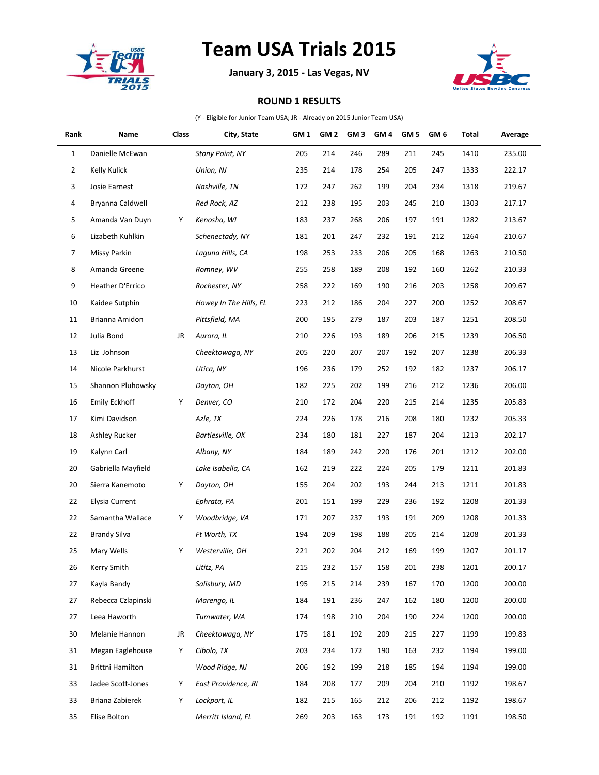

## **Team USA Trials 2015**

**January 3, 2015 - Las Vegas, NV**



## **ROUND 1 RESULTS**

(Y - Eligible for Junior Team USA; JR - Already on 2015 Junior Team USA)

| Rank           | Name               | Class | City, State            | GM <sub>1</sub> | GM <sub>2</sub> | GM <sub>3</sub> | GM <sub>4</sub> | GM <sub>5</sub> | GM 6 | Total | Average |
|----------------|--------------------|-------|------------------------|-----------------|-----------------|-----------------|-----------------|-----------------|------|-------|---------|
| $\mathbf{1}$   | Danielle McEwan    |       | <b>Stony Point, NY</b> | 205             | 214             | 246             | 289             | 211             | 245  | 1410  | 235.00  |
| $\overline{2}$ | Kelly Kulick       |       | Union, NJ              | 235             | 214             | 178             | 254             | 205             | 247  | 1333  | 222.17  |
| 3              | Josie Earnest      |       | Nashville, TN          | 172             | 247             | 262             | 199             | 204             | 234  | 1318  | 219.67  |
| 4              | Bryanna Caldwell   |       | Red Rock, AZ           | 212             | 238             | 195             | 203             | 245             | 210  | 1303  | 217.17  |
| 5              | Amanda Van Duyn    | Υ     | Kenosha, WI            | 183             | 237             | 268             | 206             | 197             | 191  | 1282  | 213.67  |
| 6              | Lizabeth Kuhlkin   |       | Schenectady, NY        | 181             | 201             | 247             | 232             | 191             | 212  | 1264  | 210.67  |
| 7              | Missy Parkin       |       | Laguna Hills, CA       | 198             | 253             | 233             | 206             | 205             | 168  | 1263  | 210.50  |
| 8              | Amanda Greene      |       | Romney, WV             | 255             | 258             | 189             | 208             | 192             | 160  | 1262  | 210.33  |
| 9              | Heather D'Errico   |       | Rochester, NY          | 258             | 222             | 169             | 190             | 216             | 203  | 1258  | 209.67  |
| 10             | Kaidee Sutphin     |       | Howey In The Hills, FL | 223             | 212             | 186             | 204             | 227             | 200  | 1252  | 208.67  |
| 11             | Brianna Amidon     |       | Pittsfield, MA         | 200             | 195             | 279             | 187             | 203             | 187  | 1251  | 208.50  |
| 12             | Julia Bond         | JR    | Aurora, IL             | 210             | 226             | 193             | 189             | 206             | 215  | 1239  | 206.50  |
| 13             | Liz Johnson        |       | Cheektowaga, NY        | 205             | 220             | 207             | 207             | 192             | 207  | 1238  | 206.33  |
| 14             | Nicole Parkhurst   |       | Utica, NY              | 196             | 236             | 179             | 252             | 192             | 182  | 1237  | 206.17  |
| 15             | Shannon Pluhowsky  |       | Dayton, OH             | 182             | 225             | 202             | 199             | 216             | 212  | 1236  | 206.00  |
| 16             | Emily Eckhoff      | Υ     | Denver, CO             | 210             | 172             | 204             | 220             | 215             | 214  | 1235  | 205.83  |
| 17             | Kimi Davidson      |       | Azle, TX               | 224             | 226             | 178             | 216             | 208             | 180  | 1232  | 205.33  |
| 18             | Ashley Rucker      |       | Bartlesville, OK       | 234             | 180             | 181             | 227             | 187             | 204  | 1213  | 202.17  |
| 19             | Kalynn Carl        |       | Albany, NY             | 184             | 189             | 242             | 220             | 176             | 201  | 1212  | 202.00  |
| 20             | Gabriella Mayfield |       | Lake Isabella, CA      | 162             | 219             | 222             | 224             | 205             | 179  | 1211  | 201.83  |
| 20             | Sierra Kanemoto    | Υ     | Dayton, OH             | 155             | 204             | 202             | 193             | 244             | 213  | 1211  | 201.83  |
| 22             | Elysia Current     |       | Ephrata, PA            | 201             | 151             | 199             | 229             | 236             | 192  | 1208  | 201.33  |
| 22             | Samantha Wallace   | Y     | Woodbridge, VA         | 171             | 207             | 237             | 193             | 191             | 209  | 1208  | 201.33  |
| 22             | Brandy Silva       |       | Ft Worth, TX           | 194             | 209             | 198             | 188             | 205             | 214  | 1208  | 201.33  |
| 25             | Mary Wells         | Υ     | Westerville, OH        | 221             | 202             | 204             | 212             | 169             | 199  | 1207  | 201.17  |
| 26             | Kerry Smith        |       | Lititz, PA             | 215             | 232             | 157             | 158             | 201             | 238  | 1201  | 200.17  |
| 27             | Kayla Bandy        |       | Salisbury, MD          | 195             | 215             | 214             | 239             | 167             | 170  | 1200  | 200.00  |
| 27             | Rebecca Czlapinski |       | Marengo, IL            | 184             | 191             | 236             | 247             | 162             | 180  | 1200  | 200.00  |
| 27             | Leea Haworth       |       | Tumwater, WA           | 174             | 198             | 210             | 204             | 190             | 224  | 1200  | 200.00  |
| 30             | Melanie Hannon     | JR    | Cheektowaga, NY        | 175             | 181             | 192             | 209             | 215             | 227  | 1199  | 199.83  |
| 31             | Megan Eaglehouse   | Υ     | Cibolo, TX             | 203             | 234             | 172             | 190             | 163             | 232  | 1194  | 199.00  |
| 31             | Brittni Hamilton   |       | Wood Ridge, NJ         | 206             | 192             | 199             | 218             | 185             | 194  | 1194  | 199.00  |
| 33             | Jadee Scott-Jones  | Υ     | East Providence, RI    | 184             | 208             | 177             | 209             | 204             | 210  | 1192  | 198.67  |
| 33             | Briana Zabierek    | Y     | Lockport, IL           | 182             | 215             | 165             | 212             | 206             | 212  | 1192  | 198.67  |
| 35             | Elise Bolton       |       | Merritt Island, FL     | 269             | 203             | 163             | 173             | 191             | 192  | 1191  | 198.50  |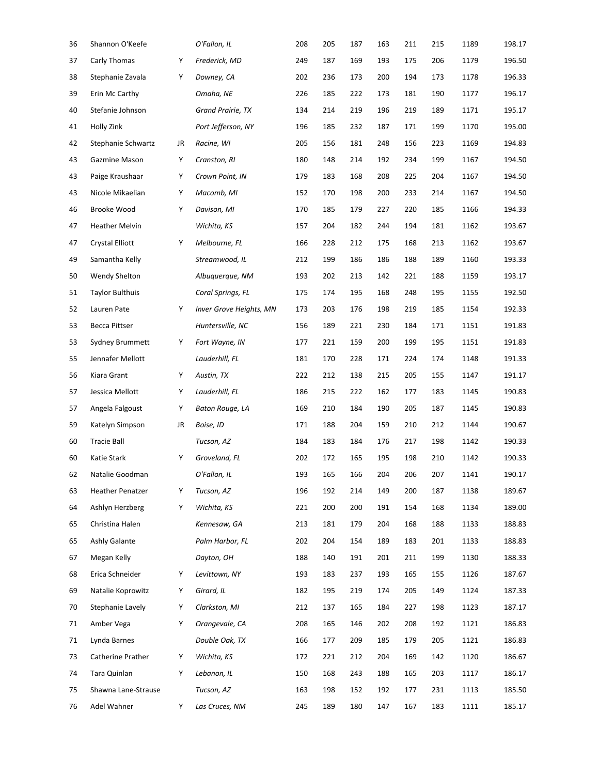| Shannon O'Keefe         |    | O'Fallon, IL            | 208 | 205 | 187 | 163 | 211 | 215 | 1189 | 198.17 |
|-------------------------|----|-------------------------|-----|-----|-----|-----|-----|-----|------|--------|
| Carly Thomas            | Υ  | Frederick, MD           | 249 | 187 | 169 | 193 | 175 | 206 | 1179 | 196.50 |
| Stephanie Zavala        | Υ  | Downey, CA              | 202 | 236 | 173 | 200 | 194 | 173 | 1178 | 196.33 |
| Erin Mc Carthy          |    | Omaha, NE               | 226 | 185 | 222 | 173 | 181 | 190 | 1177 | 196.17 |
| Stefanie Johnson        |    | Grand Prairie, TX       | 134 | 214 | 219 | 196 | 219 | 189 | 1171 | 195.17 |
| Holly Zink              |    | Port Jefferson, NY      | 196 | 185 | 232 | 187 | 171 | 199 | 1170 | 195.00 |
| Stephanie Schwartz      | JR | Racine, WI              | 205 | 156 | 181 | 248 | 156 | 223 | 1169 | 194.83 |
| Gazmine Mason           | Υ  | Cranston, RI            | 180 | 148 | 214 | 192 | 234 | 199 | 1167 | 194.50 |
| Paige Kraushaar         | Υ  | Crown Point, IN         | 179 | 183 | 168 | 208 | 225 | 204 | 1167 | 194.50 |
| Nicole Mikaelian        | Υ  | Macomb, MI              | 152 | 170 | 198 | 200 | 233 | 214 | 1167 | 194.50 |
| Brooke Wood             | Υ  | Davison, MI             | 170 | 185 | 179 | 227 | 220 | 185 | 1166 | 194.33 |
| <b>Heather Melvin</b>   |    | Wichita, KS             | 157 | 204 | 182 | 244 | 194 | 181 | 1162 | 193.67 |
| <b>Crystal Elliott</b>  | Υ  | Melbourne, FL           | 166 | 228 | 212 | 175 | 168 | 213 | 1162 | 193.67 |
| Samantha Kelly          |    | Streamwood, IL          | 212 | 199 | 186 | 186 | 188 | 189 | 1160 | 193.33 |
| Wendy Shelton           |    | Albuguergue, NM         | 193 | 202 | 213 | 142 | 221 | 188 | 1159 | 193.17 |
| <b>Taylor Bulthuis</b>  |    | Coral Springs, FL       | 175 | 174 | 195 | 168 | 248 | 195 | 1155 | 192.50 |
| Lauren Pate             | Υ  | Inver Grove Heights, MN | 173 | 203 | 176 | 198 | 219 | 185 | 1154 | 192.33 |
| <b>Becca Pittser</b>    |    | Huntersville, NC        | 156 | 189 | 221 | 230 | 184 | 171 | 1151 | 191.83 |
| Sydney Brummett         | Υ  | Fort Wayne, IN          | 177 | 221 | 159 | 200 | 199 | 195 | 1151 | 191.83 |
| Jennafer Mellott        |    | Lauderhill, FL          | 181 | 170 | 228 | 171 | 224 | 174 | 1148 | 191.33 |
| Kiara Grant             | Υ  | Austin, TX              | 222 | 212 | 138 | 215 | 205 | 155 | 1147 | 191.17 |
| Jessica Mellott         | Υ  | Lauderhill, FL          | 186 | 215 | 222 | 162 | 177 | 183 | 1145 | 190.83 |
| Angela Falgoust         | Υ  | Baton Rouge, LA         | 169 | 210 | 184 | 190 | 205 | 187 | 1145 | 190.83 |
| Katelyn Simpson         | JR | Boise, ID               | 171 | 188 | 204 | 159 | 210 | 212 | 1144 | 190.67 |
| <b>Tracie Ball</b>      |    | Tucson, AZ              | 184 | 183 | 184 | 176 | 217 | 198 | 1142 | 190.33 |
| Katie Stark             | Y  | Groveland, FL           | 202 | 172 | 165 | 195 | 198 | 210 | 1142 | 190.33 |
| Natalie Goodman         |    | O'Fallon, IL            | 193 | 165 | 166 | 204 | 206 | 207 | 1141 | 190.17 |
| <b>Heather Penatzer</b> | Υ  | Tucson, AZ              | 196 | 192 | 214 | 149 | 200 | 187 | 1138 | 189.67 |
| Ashlyn Herzberg         | Υ  | Wichita, KS             | 221 | 200 | 200 | 191 | 154 | 168 | 1134 | 189.00 |
| Christina Halen         |    | Kennesaw, GA            | 213 | 181 | 179 | 204 | 168 | 188 | 1133 | 188.83 |
| Ashly Galante           |    | Palm Harbor, FL         | 202 | 204 | 154 | 189 | 183 | 201 | 1133 | 188.83 |
| Megan Kelly             |    | Dayton, OH              | 188 | 140 | 191 | 201 | 211 | 199 | 1130 | 188.33 |
| Erica Schneider         | Υ  | Levittown, NY           | 193 | 183 | 237 | 193 | 165 | 155 | 1126 | 187.67 |
| Natalie Koprowitz       | Υ  | Girard, IL              | 182 | 195 | 219 | 174 | 205 | 149 | 1124 | 187.33 |
| Stephanie Lavely        | Υ  | Clarkston, MI           | 212 | 137 | 165 | 184 | 227 | 198 | 1123 | 187.17 |
| Amber Vega              | Υ  | Orangevale, CA          | 208 | 165 | 146 | 202 | 208 | 192 | 1121 | 186.83 |
| Lynda Barnes            |    | Double Oak, TX          | 166 | 177 | 209 | 185 | 179 | 205 | 1121 | 186.83 |
| Catherine Prather       | Υ  | Wichita, KS             | 172 | 221 | 212 | 204 | 169 | 142 | 1120 | 186.67 |
| Tara Quinlan            | Υ  | Lebanon, IL             | 150 | 168 | 243 | 188 | 165 | 203 | 1117 | 186.17 |
| Shawna Lane-Strause     |    | Tucson, AZ              | 163 | 198 | 152 | 192 | 177 | 231 | 1113 | 185.50 |
| Adel Wahner             | Υ  | Las Cruces, NM          | 245 | 189 | 180 | 147 | 167 | 183 | 1111 | 185.17 |
|                         |    |                         |     |     |     |     |     |     |      |        |